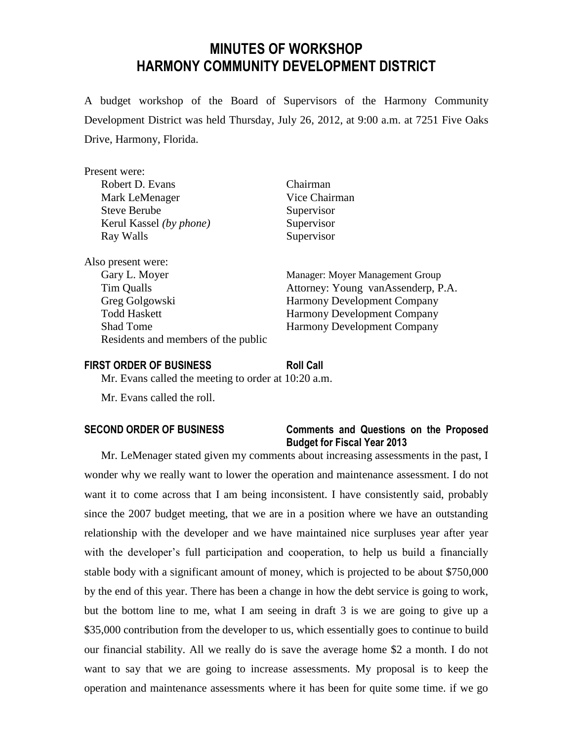# **MINUTES OF WORKSHOP HARMONY COMMUNITY DEVELOPMENT DISTRICT**

A budget workshop of the Board of Supervisors of the Harmony Community Development District was held Thursday, July 26, 2012, at 9:00 a.m. at 7251 Five Oaks Drive, Harmony, Florida.

| Present were:                       |                                    |
|-------------------------------------|------------------------------------|
| Robert D. Evans                     | Chairman                           |
| Mark LeMenager                      | Vice Chairman                      |
| <b>Steve Berube</b>                 | Supervisor                         |
| Kerul Kassel (by phone)             | Supervisor                         |
| Ray Walls                           | Supervisor                         |
| Also present were:                  |                                    |
| Gary L. Moyer                       | Manager: Moyer Management Group    |
| Tim Qualls                          | Attorney: Young vanAssenderp, P.A. |
| Greg Golgowski                      | <b>Harmony Development Company</b> |
| <b>Todd Haskett</b>                 | <b>Harmony Development Company</b> |
| <b>Shad Tome</b>                    | <b>Harmony Development Company</b> |
| Residents and members of the public |                                    |

#### **FIRST ORDER OF BUSINESS Roll Call**

Mr. Evans called the meeting to order at 10:20 a.m.

Mr. Evans called the roll.

#### **SECOND ORDER OF BUSINESS Comments and Questions on the Proposed Budget for Fiscal Year 2013**

Mr. LeMenager stated given my comments about increasing assessments in the past, I wonder why we really want to lower the operation and maintenance assessment. I do not want it to come across that I am being inconsistent. I have consistently said, probably since the 2007 budget meeting, that we are in a position where we have an outstanding relationship with the developer and we have maintained nice surpluses year after year with the developer's full participation and cooperation, to help us build a financially stable body with a significant amount of money, which is projected to be about \$750,000 by the end of this year. There has been a change in how the debt service is going to work, but the bottom line to me, what I am seeing in draft 3 is we are going to give up a \$35,000 contribution from the developer to us, which essentially goes to continue to build our financial stability. All we really do is save the average home \$2 a month. I do not want to say that we are going to increase assessments. My proposal is to keep the operation and maintenance assessments where it has been for quite some time. if we go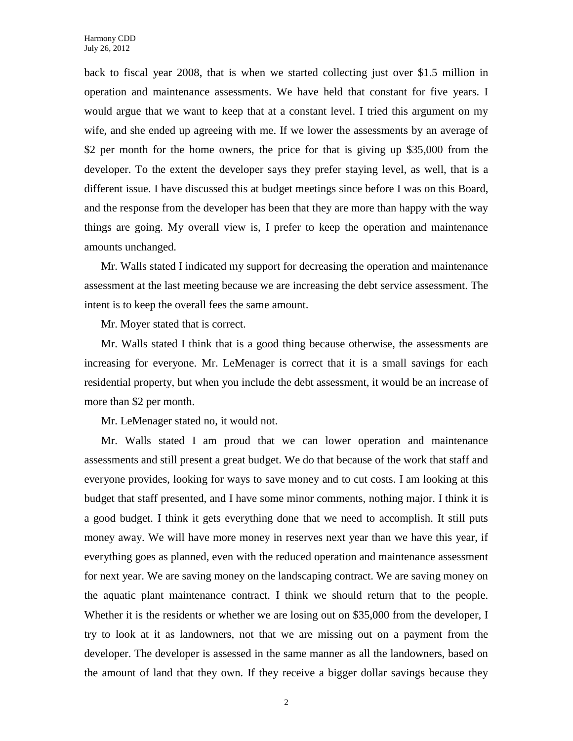back to fiscal year 2008, that is when we started collecting just over \$1.5 million in operation and maintenance assessments. We have held that constant for five years. I would argue that we want to keep that at a constant level. I tried this argument on my wife, and she ended up agreeing with me. If we lower the assessments by an average of \$2 per month for the home owners, the price for that is giving up \$35,000 from the developer. To the extent the developer says they prefer staying level, as well, that is a different issue. I have discussed this at budget meetings since before I was on this Board, and the response from the developer has been that they are more than happy with the way things are going. My overall view is, I prefer to keep the operation and maintenance amounts unchanged.

Mr. Walls stated I indicated my support for decreasing the operation and maintenance assessment at the last meeting because we are increasing the debt service assessment. The intent is to keep the overall fees the same amount.

Mr. Moyer stated that is correct.

Mr. Walls stated I think that is a good thing because otherwise, the assessments are increasing for everyone. Mr. LeMenager is correct that it is a small savings for each residential property, but when you include the debt assessment, it would be an increase of more than \$2 per month.

Mr. LeMenager stated no, it would not.

Mr. Walls stated I am proud that we can lower operation and maintenance assessments and still present a great budget. We do that because of the work that staff and everyone provides, looking for ways to save money and to cut costs. I am looking at this budget that staff presented, and I have some minor comments, nothing major. I think it is a good budget. I think it gets everything done that we need to accomplish. It still puts money away. We will have more money in reserves next year than we have this year, if everything goes as planned, even with the reduced operation and maintenance assessment for next year. We are saving money on the landscaping contract. We are saving money on the aquatic plant maintenance contract. I think we should return that to the people. Whether it is the residents or whether we are losing out on \$35,000 from the developer. I try to look at it as landowners, not that we are missing out on a payment from the developer. The developer is assessed in the same manner as all the landowners, based on the amount of land that they own. If they receive a bigger dollar savings because they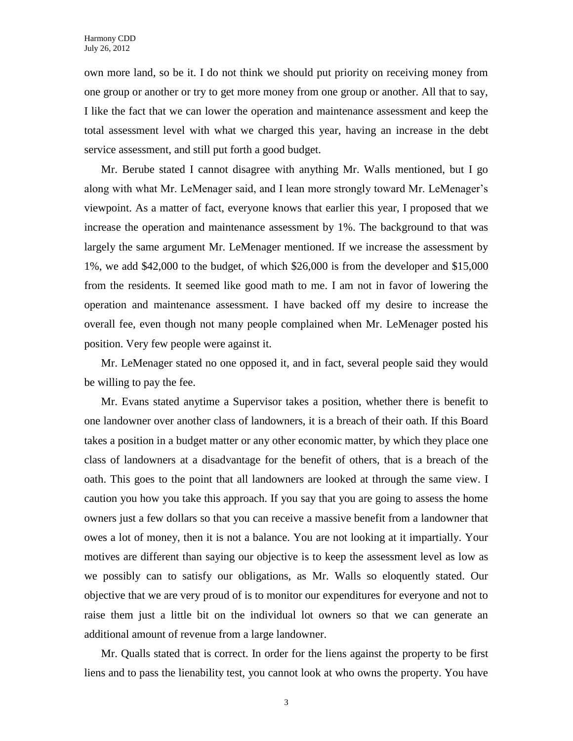own more land, so be it. I do not think we should put priority on receiving money from one group or another or try to get more money from one group or another. All that to say, I like the fact that we can lower the operation and maintenance assessment and keep the total assessment level with what we charged this year, having an increase in the debt service assessment, and still put forth a good budget.

Mr. Berube stated I cannot disagree with anything Mr. Walls mentioned, but I go along with what Mr. LeMenager said, and I lean more strongly toward Mr. LeMenager's viewpoint. As a matter of fact, everyone knows that earlier this year, I proposed that we increase the operation and maintenance assessment by 1%. The background to that was largely the same argument Mr. LeMenager mentioned. If we increase the assessment by 1%, we add \$42,000 to the budget, of which \$26,000 is from the developer and \$15,000 from the residents. It seemed like good math to me. I am not in favor of lowering the operation and maintenance assessment. I have backed off my desire to increase the overall fee, even though not many people complained when Mr. LeMenager posted his position. Very few people were against it.

Mr. LeMenager stated no one opposed it, and in fact, several people said they would be willing to pay the fee.

Mr. Evans stated anytime a Supervisor takes a position, whether there is benefit to one landowner over another class of landowners, it is a breach of their oath. If this Board takes a position in a budget matter or any other economic matter, by which they place one class of landowners at a disadvantage for the benefit of others, that is a breach of the oath. This goes to the point that all landowners are looked at through the same view. I caution you how you take this approach. If you say that you are going to assess the home owners just a few dollars so that you can receive a massive benefit from a landowner that owes a lot of money, then it is not a balance. You are not looking at it impartially. Your motives are different than saying our objective is to keep the assessment level as low as we possibly can to satisfy our obligations, as Mr. Walls so eloquently stated. Our objective that we are very proud of is to monitor our expenditures for everyone and not to raise them just a little bit on the individual lot owners so that we can generate an additional amount of revenue from a large landowner.

Mr. Qualls stated that is correct. In order for the liens against the property to be first liens and to pass the lienability test, you cannot look at who owns the property. You have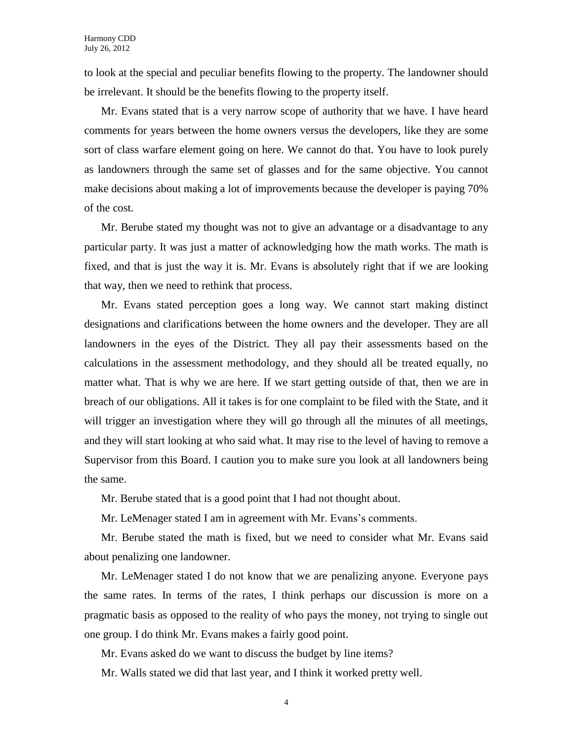to look at the special and peculiar benefits flowing to the property. The landowner should be irrelevant. It should be the benefits flowing to the property itself.

Mr. Evans stated that is a very narrow scope of authority that we have. I have heard comments for years between the home owners versus the developers, like they are some sort of class warfare element going on here. We cannot do that. You have to look purely as landowners through the same set of glasses and for the same objective. You cannot make decisions about making a lot of improvements because the developer is paying 70% of the cost.

Mr. Berube stated my thought was not to give an advantage or a disadvantage to any particular party. It was just a matter of acknowledging how the math works. The math is fixed, and that is just the way it is. Mr. Evans is absolutely right that if we are looking that way, then we need to rethink that process.

Mr. Evans stated perception goes a long way. We cannot start making distinct designations and clarifications between the home owners and the developer. They are all landowners in the eyes of the District. They all pay their assessments based on the calculations in the assessment methodology, and they should all be treated equally, no matter what. That is why we are here. If we start getting outside of that, then we are in breach of our obligations. All it takes is for one complaint to be filed with the State, and it will trigger an investigation where they will go through all the minutes of all meetings, and they will start looking at who said what. It may rise to the level of having to remove a Supervisor from this Board. I caution you to make sure you look at all landowners being the same.

Mr. Berube stated that is a good point that I had not thought about.

Mr. LeMenager stated I am in agreement with Mr. Evans's comments.

Mr. Berube stated the math is fixed, but we need to consider what Mr. Evans said about penalizing one landowner.

Mr. LeMenager stated I do not know that we are penalizing anyone. Everyone pays the same rates. In terms of the rates, I think perhaps our discussion is more on a pragmatic basis as opposed to the reality of who pays the money, not trying to single out one group. I do think Mr. Evans makes a fairly good point.

Mr. Evans asked do we want to discuss the budget by line items?

Mr. Walls stated we did that last year, and I think it worked pretty well.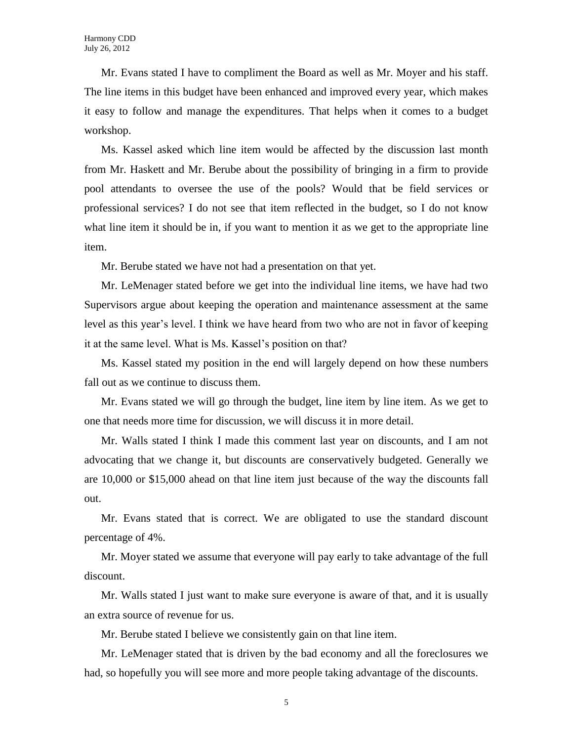Mr. Evans stated I have to compliment the Board as well as Mr. Moyer and his staff. The line items in this budget have been enhanced and improved every year, which makes it easy to follow and manage the expenditures. That helps when it comes to a budget workshop.

Ms. Kassel asked which line item would be affected by the discussion last month from Mr. Haskett and Mr. Berube about the possibility of bringing in a firm to provide pool attendants to oversee the use of the pools? Would that be field services or professional services? I do not see that item reflected in the budget, so I do not know what line item it should be in, if you want to mention it as we get to the appropriate line item.

Mr. Berube stated we have not had a presentation on that yet.

Mr. LeMenager stated before we get into the individual line items, we have had two Supervisors argue about keeping the operation and maintenance assessment at the same level as this year's level. I think we have heard from two who are not in favor of keeping it at the same level. What is Ms. Kassel's position on that?

Ms. Kassel stated my position in the end will largely depend on how these numbers fall out as we continue to discuss them.

Mr. Evans stated we will go through the budget, line item by line item. As we get to one that needs more time for discussion, we will discuss it in more detail.

Mr. Walls stated I think I made this comment last year on discounts, and I am not advocating that we change it, but discounts are conservatively budgeted. Generally we are 10,000 or \$15,000 ahead on that line item just because of the way the discounts fall out.

Mr. Evans stated that is correct. We are obligated to use the standard discount percentage of 4%.

Mr. Moyer stated we assume that everyone will pay early to take advantage of the full discount.

Mr. Walls stated I just want to make sure everyone is aware of that, and it is usually an extra source of revenue for us.

Mr. Berube stated I believe we consistently gain on that line item.

Mr. LeMenager stated that is driven by the bad economy and all the foreclosures we had, so hopefully you will see more and more people taking advantage of the discounts.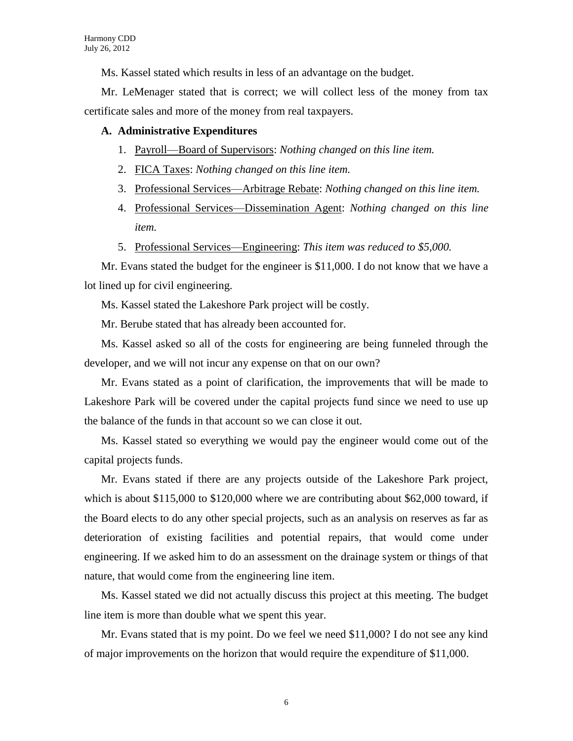Ms. Kassel stated which results in less of an advantage on the budget.

Mr. LeMenager stated that is correct; we will collect less of the money from tax certificate sales and more of the money from real taxpayers.

#### **A. Administrative Expenditures**

- 1. Payroll—Board of Supervisors: *Nothing changed on this line item.*
- 2. FICA Taxes: *Nothing changed on this line item.*
- 3. Professional Services—Arbitrage Rebate: *Nothing changed on this line item.*
- 4. Professional Services—Dissemination Agent: *Nothing changed on this line item.*
- 5. Professional Services—Engineering: *This item was reduced to \$5,000.*

Mr. Evans stated the budget for the engineer is \$11,000. I do not know that we have a lot lined up for civil engineering.

Ms. Kassel stated the Lakeshore Park project will be costly.

Mr. Berube stated that has already been accounted for.

Ms. Kassel asked so all of the costs for engineering are being funneled through the developer, and we will not incur any expense on that on our own?

Mr. Evans stated as a point of clarification, the improvements that will be made to Lakeshore Park will be covered under the capital projects fund since we need to use up the balance of the funds in that account so we can close it out.

Ms. Kassel stated so everything we would pay the engineer would come out of the capital projects funds.

Mr. Evans stated if there are any projects outside of the Lakeshore Park project, which is about \$115,000 to \$120,000 where we are contributing about \$62,000 toward, if the Board elects to do any other special projects, such as an analysis on reserves as far as deterioration of existing facilities and potential repairs, that would come under engineering. If we asked him to do an assessment on the drainage system or things of that nature, that would come from the engineering line item.

Ms. Kassel stated we did not actually discuss this project at this meeting. The budget line item is more than double what we spent this year.

Mr. Evans stated that is my point. Do we feel we need \$11,000? I do not see any kind of major improvements on the horizon that would require the expenditure of \$11,000.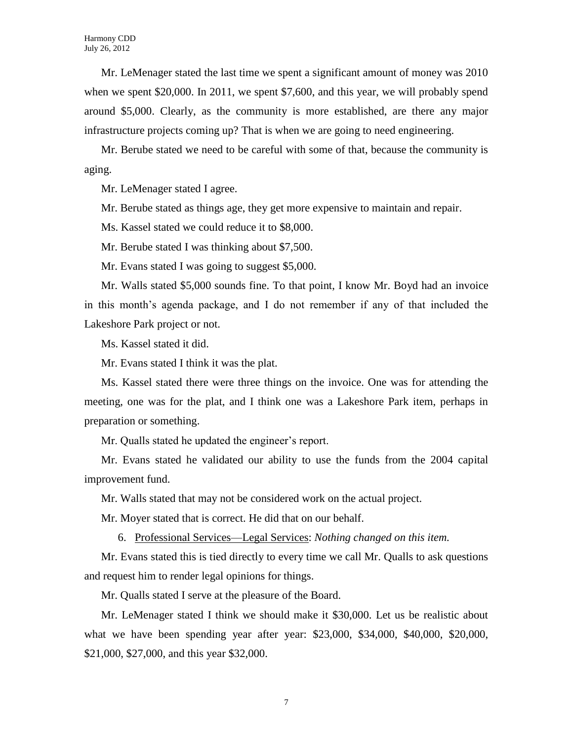Mr. LeMenager stated the last time we spent a significant amount of money was 2010 when we spent \$20,000. In 2011, we spent \$7,600, and this year, we will probably spend around \$5,000. Clearly, as the community is more established, are there any major infrastructure projects coming up? That is when we are going to need engineering.

Mr. Berube stated we need to be careful with some of that, because the community is aging.

Mr. LeMenager stated I agree.

Mr. Berube stated as things age, they get more expensive to maintain and repair.

Ms. Kassel stated we could reduce it to \$8,000.

Mr. Berube stated I was thinking about \$7,500.

Mr. Evans stated I was going to suggest \$5,000.

Mr. Walls stated \$5,000 sounds fine. To that point, I know Mr. Boyd had an invoice in this month's agenda package, and I do not remember if any of that included the Lakeshore Park project or not.

Ms. Kassel stated it did.

Mr. Evans stated I think it was the plat.

Ms. Kassel stated there were three things on the invoice. One was for attending the meeting, one was for the plat, and I think one was a Lakeshore Park item, perhaps in preparation or something.

Mr. Qualls stated he updated the engineer's report.

Mr. Evans stated he validated our ability to use the funds from the 2004 capital improvement fund.

Mr. Walls stated that may not be considered work on the actual project.

Mr. Moyer stated that is correct. He did that on our behalf.

6. Professional Services—Legal Services: *Nothing changed on this item.*

Mr. Evans stated this is tied directly to every time we call Mr. Qualls to ask questions and request him to render legal opinions for things.

Mr. Qualls stated I serve at the pleasure of the Board.

Mr. LeMenager stated I think we should make it \$30,000. Let us be realistic about what we have been spending year after year: \$23,000, \$34,000, \$40,000, \$20,000, \$21,000, \$27,000, and this year \$32,000.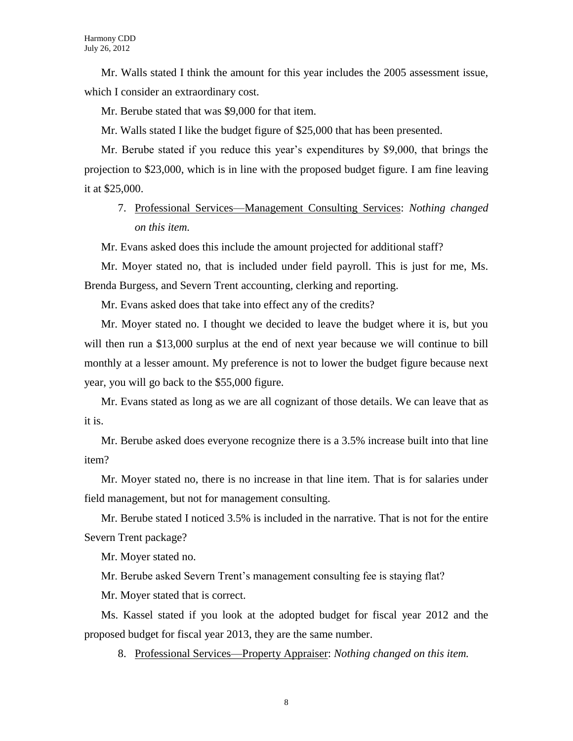Mr. Walls stated I think the amount for this year includes the 2005 assessment issue, which I consider an extraordinary cost.

Mr. Berube stated that was \$9,000 for that item.

Mr. Walls stated I like the budget figure of \$25,000 that has been presented.

Mr. Berube stated if you reduce this year's expenditures by \$9,000, that brings the projection to \$23,000, which is in line with the proposed budget figure. I am fine leaving it at \$25,000.

## 7. Professional Services—Management Consulting Services: *Nothing changed on this item.*

Mr. Evans asked does this include the amount projected for additional staff?

Mr. Moyer stated no, that is included under field payroll. This is just for me, Ms. Brenda Burgess, and Severn Trent accounting, clerking and reporting.

Mr. Evans asked does that take into effect any of the credits?

Mr. Moyer stated no. I thought we decided to leave the budget where it is, but you will then run a \$13,000 surplus at the end of next year because we will continue to bill monthly at a lesser amount. My preference is not to lower the budget figure because next year, you will go back to the \$55,000 figure.

Mr. Evans stated as long as we are all cognizant of those details. We can leave that as it is.

Mr. Berube asked does everyone recognize there is a 3.5% increase built into that line item?

Mr. Moyer stated no, there is no increase in that line item. That is for salaries under field management, but not for management consulting.

Mr. Berube stated I noticed 3.5% is included in the narrative. That is not for the entire Severn Trent package?

Mr. Moyer stated no.

Mr. Berube asked Severn Trent's management consulting fee is staying flat?

Mr. Moyer stated that is correct.

Ms. Kassel stated if you look at the adopted budget for fiscal year 2012 and the proposed budget for fiscal year 2013, they are the same number.

8. Professional Services—Property Appraiser: *Nothing changed on this item.*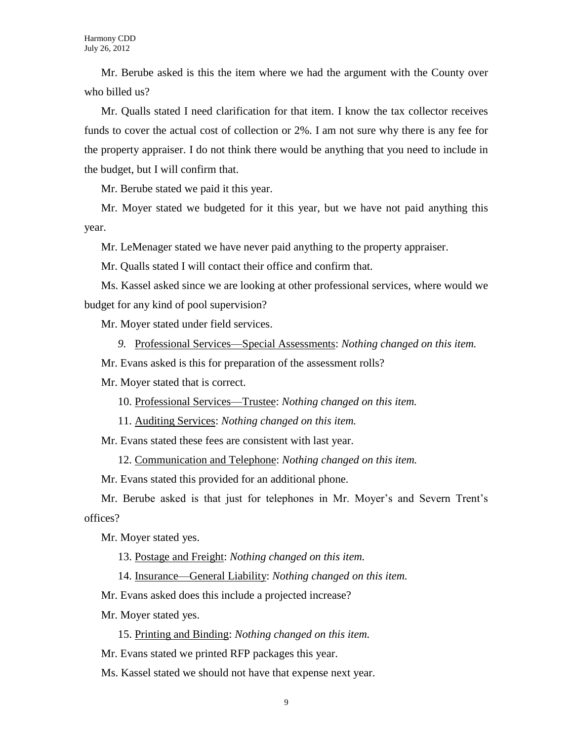Mr. Berube asked is this the item where we had the argument with the County over who billed us?

Mr. Qualls stated I need clarification for that item. I know the tax collector receives funds to cover the actual cost of collection or 2%. I am not sure why there is any fee for the property appraiser. I do not think there would be anything that you need to include in the budget, but I will confirm that.

Mr. Berube stated we paid it this year.

Mr. Moyer stated we budgeted for it this year, but we have not paid anything this year.

Mr. LeMenager stated we have never paid anything to the property appraiser.

Mr. Qualls stated I will contact their office and confirm that.

Ms. Kassel asked since we are looking at other professional services, where would we budget for any kind of pool supervision?

Mr. Moyer stated under field services.

*9.* Professional Services—Special Assessments: *Nothing changed on this item.*

Mr. Evans asked is this for preparation of the assessment rolls?

Mr. Moyer stated that is correct.

10. Professional Services—Trustee: *Nothing changed on this item.*

11. Auditing Services: *Nothing changed on this item.*

Mr. Evans stated these fees are consistent with last year.

12. Communication and Telephone: *Nothing changed on this item.*

Mr. Evans stated this provided for an additional phone.

Mr. Berube asked is that just for telephones in Mr. Moyer's and Severn Trent's offices?

Mr. Moyer stated yes.

13. Postage and Freight: *Nothing changed on this item.*

14. Insurance—General Liability: *Nothing changed on this item.*

Mr. Evans asked does this include a projected increase?

Mr. Moyer stated yes.

15. Printing and Binding: *Nothing changed on this item.*

Mr. Evans stated we printed RFP packages this year.

Ms. Kassel stated we should not have that expense next year.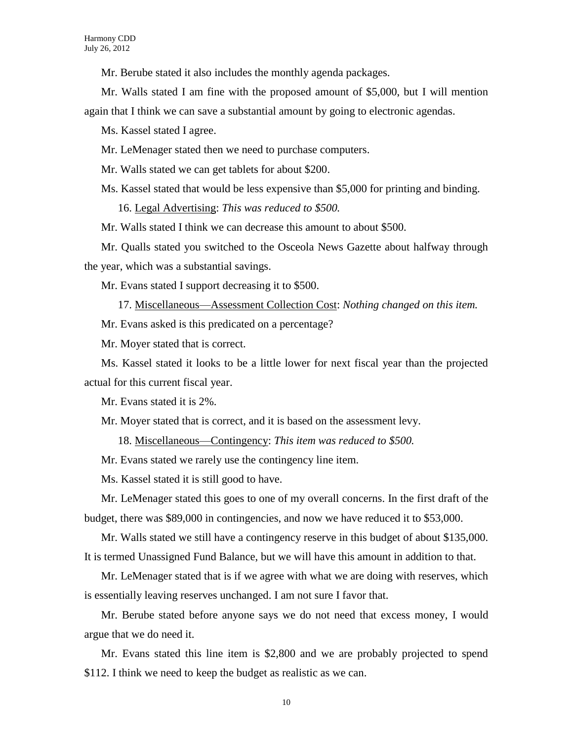Mr. Berube stated it also includes the monthly agenda packages.

Mr. Walls stated I am fine with the proposed amount of \$5,000, but I will mention again that I think we can save a substantial amount by going to electronic agendas.

Ms. Kassel stated I agree.

Mr. LeMenager stated then we need to purchase computers.

Mr. Walls stated we can get tablets for about \$200.

Ms. Kassel stated that would be less expensive than \$5,000 for printing and binding.

16. Legal Advertising: *This was reduced to \$500.*

Mr. Walls stated I think we can decrease this amount to about \$500.

Mr. Qualls stated you switched to the Osceola News Gazette about halfway through the year, which was a substantial savings.

Mr. Evans stated I support decreasing it to \$500.

17. Miscellaneous—Assessment Collection Cost: *Nothing changed on this item.*

Mr. Evans asked is this predicated on a percentage?

Mr. Moyer stated that is correct.

Ms. Kassel stated it looks to be a little lower for next fiscal year than the projected actual for this current fiscal year.

Mr. Evans stated it is 2%.

Mr. Moyer stated that is correct, and it is based on the assessment levy.

18. Miscellaneous—Contingency: *This item was reduced to \$500.*

Mr. Evans stated we rarely use the contingency line item.

Ms. Kassel stated it is still good to have.

Mr. LeMenager stated this goes to one of my overall concerns. In the first draft of the budget, there was \$89,000 in contingencies, and now we have reduced it to \$53,000.

Mr. Walls stated we still have a contingency reserve in this budget of about \$135,000. It is termed Unassigned Fund Balance, but we will have this amount in addition to that.

Mr. LeMenager stated that is if we agree with what we are doing with reserves, which is essentially leaving reserves unchanged. I am not sure I favor that.

Mr. Berube stated before anyone says we do not need that excess money, I would argue that we do need it.

Mr. Evans stated this line item is \$2,800 and we are probably projected to spend \$112. I think we need to keep the budget as realistic as we can.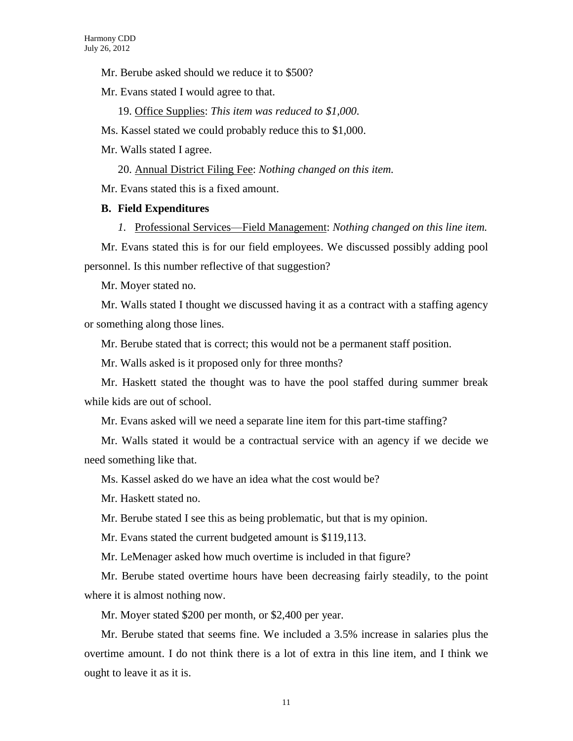- Mr. Berube asked should we reduce it to \$500?
- Mr. Evans stated I would agree to that.
	- 19. Office Supplies: *This item was reduced to \$1,000.*
- Ms. Kassel stated we could probably reduce this to \$1,000.
- Mr. Walls stated I agree.
	- 20. Annual District Filing Fee: *Nothing changed on this item.*

Mr. Evans stated this is a fixed amount.

#### **B. Field Expenditures**

*1.* Professional Services—Field Management: *Nothing changed on this line item.*

Mr. Evans stated this is for our field employees. We discussed possibly adding pool personnel. Is this number reflective of that suggestion?

Mr. Moyer stated no.

Mr. Walls stated I thought we discussed having it as a contract with a staffing agency or something along those lines.

Mr. Berube stated that is correct; this would not be a permanent staff position.

Mr. Walls asked is it proposed only for three months?

Mr. Haskett stated the thought was to have the pool staffed during summer break while kids are out of school.

Mr. Evans asked will we need a separate line item for this part-time staffing?

Mr. Walls stated it would be a contractual service with an agency if we decide we need something like that.

Ms. Kassel asked do we have an idea what the cost would be?

Mr. Haskett stated no.

Mr. Berube stated I see this as being problematic, but that is my opinion.

Mr. Evans stated the current budgeted amount is \$119,113.

Mr. LeMenager asked how much overtime is included in that figure?

Mr. Berube stated overtime hours have been decreasing fairly steadily, to the point where it is almost nothing now.

Mr. Moyer stated \$200 per month, or \$2,400 per year.

Mr. Berube stated that seems fine. We included a 3.5% increase in salaries plus the overtime amount. I do not think there is a lot of extra in this line item, and I think we ought to leave it as it is.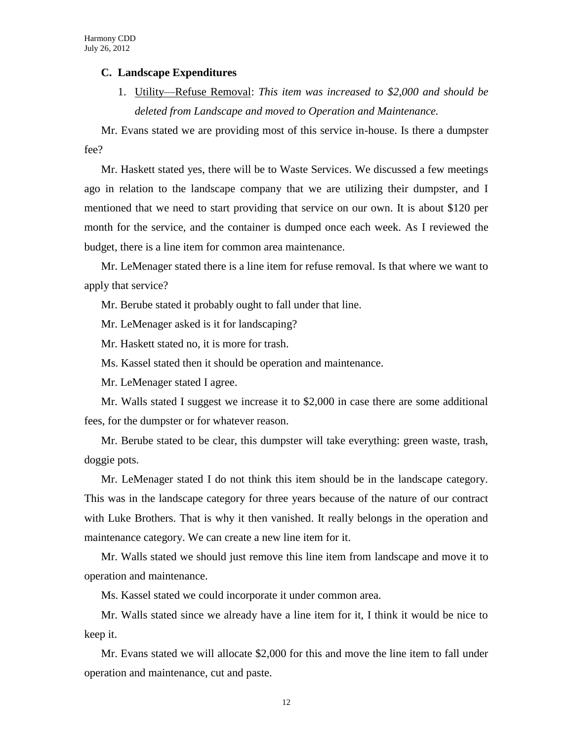#### **C. Landscape Expenditures**

1. Utility—Refuse Removal: *This item was increased to \$2,000 and should be deleted from Landscape and moved to Operation and Maintenance.*

Mr. Evans stated we are providing most of this service in-house. Is there a dumpster fee?

Mr. Haskett stated yes, there will be to Waste Services. We discussed a few meetings ago in relation to the landscape company that we are utilizing their dumpster, and I mentioned that we need to start providing that service on our own. It is about \$120 per month for the service, and the container is dumped once each week. As I reviewed the budget, there is a line item for common area maintenance.

Mr. LeMenager stated there is a line item for refuse removal. Is that where we want to apply that service?

Mr. Berube stated it probably ought to fall under that line.

Mr. LeMenager asked is it for landscaping?

Mr. Haskett stated no, it is more for trash.

Ms. Kassel stated then it should be operation and maintenance.

Mr. LeMenager stated I agree.

Mr. Walls stated I suggest we increase it to \$2,000 in case there are some additional fees, for the dumpster or for whatever reason.

Mr. Berube stated to be clear, this dumpster will take everything: green waste, trash, doggie pots.

Mr. LeMenager stated I do not think this item should be in the landscape category. This was in the landscape category for three years because of the nature of our contract with Luke Brothers. That is why it then vanished. It really belongs in the operation and maintenance category. We can create a new line item for it.

Mr. Walls stated we should just remove this line item from landscape and move it to operation and maintenance.

Ms. Kassel stated we could incorporate it under common area.

Mr. Walls stated since we already have a line item for it, I think it would be nice to keep it.

Mr. Evans stated we will allocate \$2,000 for this and move the line item to fall under operation and maintenance, cut and paste.

12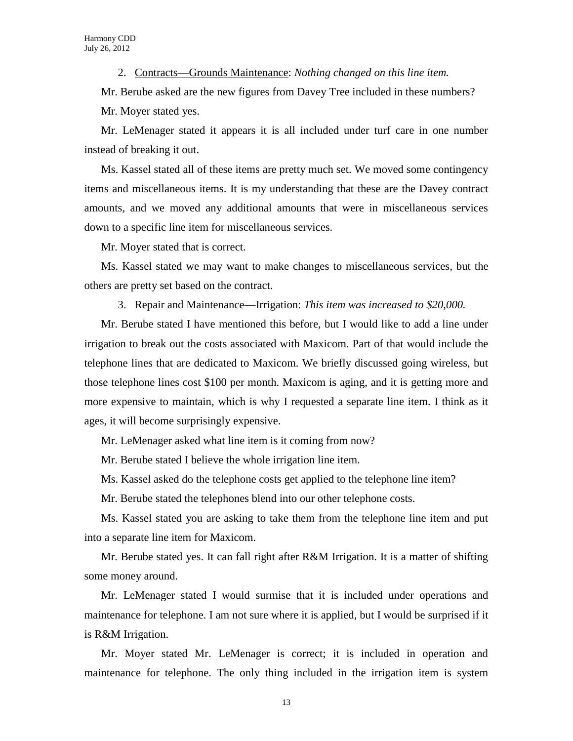2. Contracts—Grounds Maintenance: *Nothing changed on this line item.*

Mr. Berube asked are the new figures from Davey Tree included in these numbers?

Mr. Moyer stated yes.

Mr. LeMenager stated it appears it is all included under turf care in one number instead of breaking it out.

Ms. Kassel stated all of these items are pretty much set. We moved some contingency items and miscellaneous items. It is my understanding that these are the Davey contract amounts, and we moved any additional amounts that were in miscellaneous services down to a specific line item for miscellaneous services.

Mr. Moyer stated that is correct.

Ms. Kassel stated we may want to make changes to miscellaneous services, but the others are pretty set based on the contract.

3. Repair and Maintenance—Irrigation: *This item was increased to \$20,000.*

Mr. Berube stated I have mentioned this before, but I would like to add a line under irrigation to break out the costs associated with Maxicom. Part of that would include the telephone lines that are dedicated to Maxicom. We briefly discussed going wireless, but those telephone lines cost \$100 per month. Maxicom is aging, and it is getting more and more expensive to maintain, which is why I requested a separate line item. I think as it ages, it will become surprisingly expensive.

Mr. LeMenager asked what line item is it coming from now?

Mr. Berube stated I believe the whole irrigation line item.

Ms. Kassel asked do the telephone costs get applied to the telephone line item?

Mr. Berube stated the telephones blend into our other telephone costs.

Ms. Kassel stated you are asking to take them from the telephone line item and put into a separate line item for Maxicom.

Mr. Berube stated yes. It can fall right after R&M Irrigation. It is a matter of shifting some money around.

Mr. LeMenager stated I would surmise that it is included under operations and maintenance for telephone. I am not sure where it is applied, but I would be surprised if it is R&M Irrigation.

Mr. Moyer stated Mr. LeMenager is correct; it is included in operation and maintenance for telephone. The only thing included in the irrigation item is system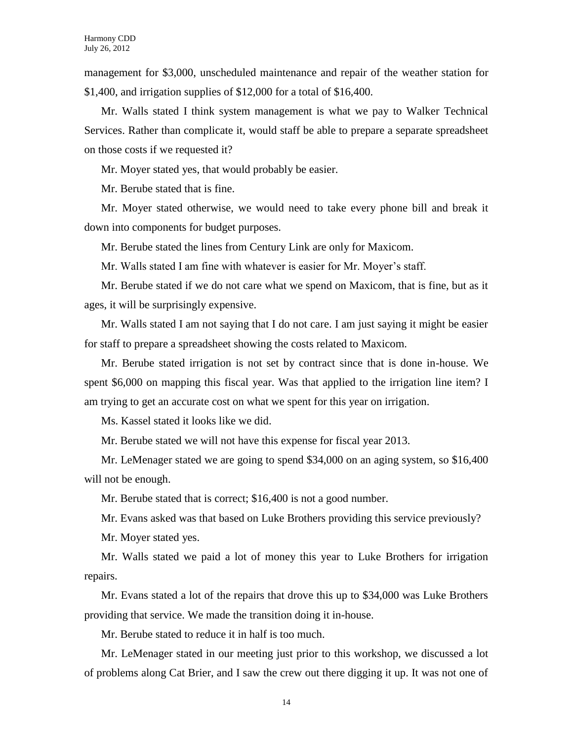management for \$3,000, unscheduled maintenance and repair of the weather station for \$1,400, and irrigation supplies of \$12,000 for a total of \$16,400.

Mr. Walls stated I think system management is what we pay to Walker Technical Services. Rather than complicate it, would staff be able to prepare a separate spreadsheet on those costs if we requested it?

Mr. Moyer stated yes, that would probably be easier.

Mr. Berube stated that is fine.

Mr. Moyer stated otherwise, we would need to take every phone bill and break it down into components for budget purposes.

Mr. Berube stated the lines from Century Link are only for Maxicom.

Mr. Walls stated I am fine with whatever is easier for Mr. Moyer's staff.

Mr. Berube stated if we do not care what we spend on Maxicom, that is fine, but as it ages, it will be surprisingly expensive.

Mr. Walls stated I am not saying that I do not care. I am just saying it might be easier for staff to prepare a spreadsheet showing the costs related to Maxicom.

Mr. Berube stated irrigation is not set by contract since that is done in-house. We spent \$6,000 on mapping this fiscal year. Was that applied to the irrigation line item? I am trying to get an accurate cost on what we spent for this year on irrigation.

Ms. Kassel stated it looks like we did.

Mr. Berube stated we will not have this expense for fiscal year 2013.

Mr. LeMenager stated we are going to spend \$34,000 on an aging system, so \$16,400 will not be enough.

Mr. Berube stated that is correct; \$16,400 is not a good number.

Mr. Evans asked was that based on Luke Brothers providing this service previously?

Mr. Moyer stated yes.

Mr. Walls stated we paid a lot of money this year to Luke Brothers for irrigation repairs.

Mr. Evans stated a lot of the repairs that drove this up to \$34,000 was Luke Brothers providing that service. We made the transition doing it in-house.

Mr. Berube stated to reduce it in half is too much.

Mr. LeMenager stated in our meeting just prior to this workshop, we discussed a lot of problems along Cat Brier, and I saw the crew out there digging it up. It was not one of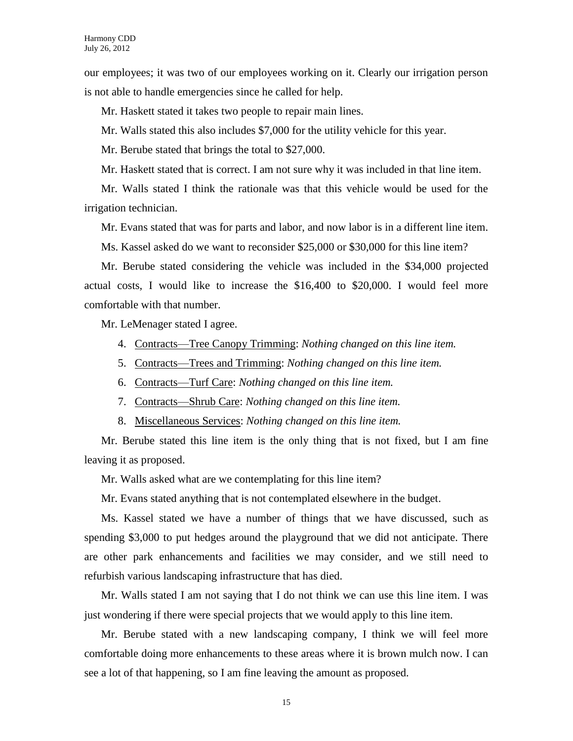our employees; it was two of our employees working on it. Clearly our irrigation person is not able to handle emergencies since he called for help.

Mr. Haskett stated it takes two people to repair main lines.

Mr. Walls stated this also includes \$7,000 for the utility vehicle for this year.

Mr. Berube stated that brings the total to \$27,000.

Mr. Haskett stated that is correct. I am not sure why it was included in that line item.

Mr. Walls stated I think the rationale was that this vehicle would be used for the irrigation technician.

Mr. Evans stated that was for parts and labor, and now labor is in a different line item.

Ms. Kassel asked do we want to reconsider \$25,000 or \$30,000 for this line item?

Mr. Berube stated considering the vehicle was included in the \$34,000 projected actual costs, I would like to increase the \$16,400 to \$20,000. I would feel more comfortable with that number.

Mr. LeMenager stated I agree.

- 4. Contracts—Tree Canopy Trimming: *Nothing changed on this line item.*
- 5. Contracts—Trees and Trimming: *Nothing changed on this line item.*
- 6. Contracts—Turf Care: *Nothing changed on this line item.*
- 7. Contracts—Shrub Care: *Nothing changed on this line item.*
- 8. Miscellaneous Services: *Nothing changed on this line item.*

Mr. Berube stated this line item is the only thing that is not fixed, but I am fine leaving it as proposed.

Mr. Walls asked what are we contemplating for this line item?

Mr. Evans stated anything that is not contemplated elsewhere in the budget.

Ms. Kassel stated we have a number of things that we have discussed, such as spending \$3,000 to put hedges around the playground that we did not anticipate. There are other park enhancements and facilities we may consider, and we still need to refurbish various landscaping infrastructure that has died.

Mr. Walls stated I am not saying that I do not think we can use this line item. I was just wondering if there were special projects that we would apply to this line item.

Mr. Berube stated with a new landscaping company, I think we will feel more comfortable doing more enhancements to these areas where it is brown mulch now. I can see a lot of that happening, so I am fine leaving the amount as proposed.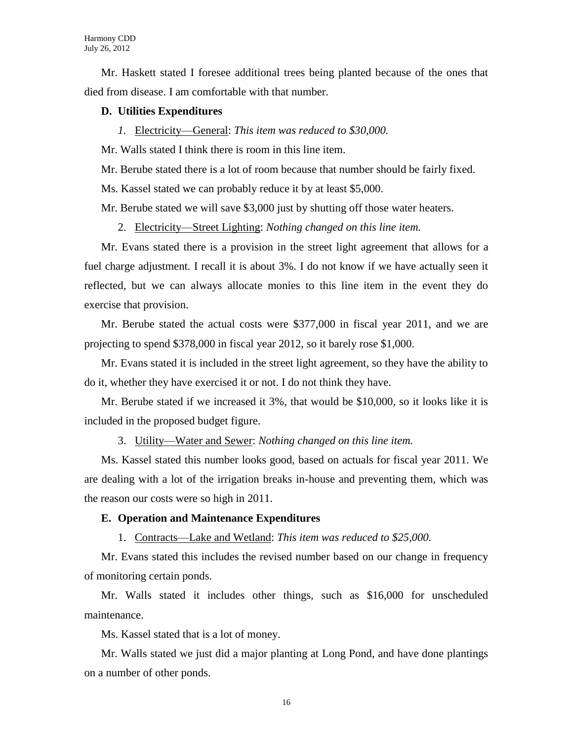Mr. Haskett stated I foresee additional trees being planted because of the ones that died from disease. I am comfortable with that number.

#### **D. Utilities Expenditures**

*1.* Electricity—General: *This item was reduced to \$30,000.*

Mr. Walls stated I think there is room in this line item.

Mr. Berube stated there is a lot of room because that number should be fairly fixed.

Ms. Kassel stated we can probably reduce it by at least \$5,000.

Mr. Berube stated we will save \$3,000 just by shutting off those water heaters.

2. Electricity—Street Lighting: *Nothing changed on this line item.*

Mr. Evans stated there is a provision in the street light agreement that allows for a fuel charge adjustment. I recall it is about 3%. I do not know if we have actually seen it reflected, but we can always allocate monies to this line item in the event they do exercise that provision.

Mr. Berube stated the actual costs were \$377,000 in fiscal year 2011, and we are projecting to spend \$378,000 in fiscal year 2012, so it barely rose \$1,000.

Mr. Evans stated it is included in the street light agreement, so they have the ability to do it, whether they have exercised it or not. I do not think they have.

Mr. Berube stated if we increased it 3%, that would be \$10,000, so it looks like it is included in the proposed budget figure.

3. Utility—Water and Sewer: *Nothing changed on this line item.*

Ms. Kassel stated this number looks good, based on actuals for fiscal year 2011. We are dealing with a lot of the irrigation breaks in-house and preventing them, which was the reason our costs were so high in 2011.

#### **E. Operation and Maintenance Expenditures**

1. Contracts—Lake and Wetland: *This item was reduced to \$25,000.*

Mr. Evans stated this includes the revised number based on our change in frequency of monitoring certain ponds.

Mr. Walls stated it includes other things, such as \$16,000 for unscheduled maintenance.

Ms. Kassel stated that is a lot of money.

Mr. Walls stated we just did a major planting at Long Pond, and have done plantings on a number of other ponds.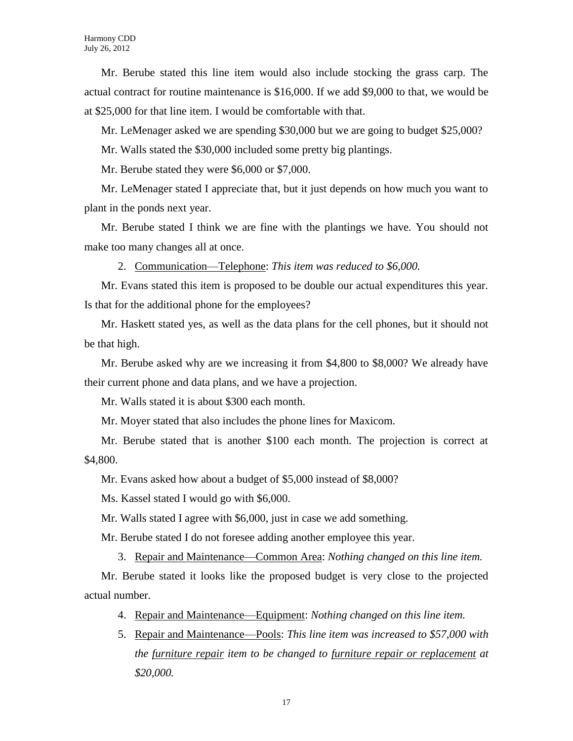Mr. Berube stated this line item would also include stocking the grass carp. The actual contract for routine maintenance is \$16,000. If we add \$9,000 to that, we would be at \$25,000 for that line item. I would be comfortable with that.

Mr. LeMenager asked we are spending \$30,000 but we are going to budget \$25,000?

Mr. Walls stated the \$30,000 included some pretty big plantings.

Mr. Berube stated they were \$6,000 or \$7,000.

Mr. LeMenager stated I appreciate that, but it just depends on how much you want to plant in the ponds next year.

Mr. Berube stated I think we are fine with the plantings we have. You should not make too many changes all at once.

2. Communication—Telephone: *This item was reduced to \$6,000.*

Mr. Evans stated this item is proposed to be double our actual expenditures this year. Is that for the additional phone for the employees?

Mr. Haskett stated yes, as well as the data plans for the cell phones, but it should not be that high.

Mr. Berube asked why are we increasing it from \$4,800 to \$8,000? We already have their current phone and data plans, and we have a projection.

Mr. Walls stated it is about \$300 each month.

Mr. Moyer stated that also includes the phone lines for Maxicom.

Mr. Berube stated that is another \$100 each month. The projection is correct at \$4,800.

Mr. Evans asked how about a budget of \$5,000 instead of \$8,000?

Ms. Kassel stated I would go with \$6,000.

Mr. Walls stated I agree with \$6,000, just in case we add something.

Mr. Berube stated I do not foresee adding another employee this year.

3. Repair and Maintenance—Common Area: *Nothing changed on this line item.*

Mr. Berube stated it looks like the proposed budget is very close to the projected actual number.

- 4. Repair and Maintenance—Equipment: *Nothing changed on this line item.*
- 5. Repair and Maintenance—Pools: *This line item was increased to \$57,000 with the furniture repair item to be changed to furniture repair or replacement at \$20,000.*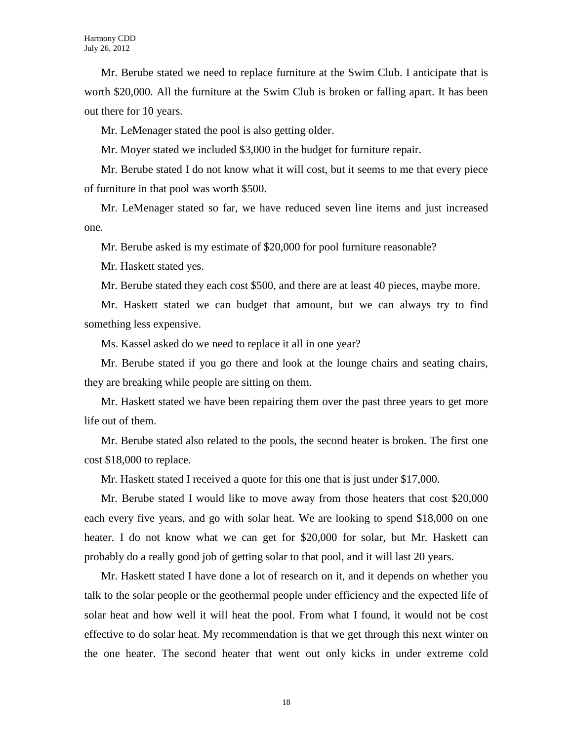Mr. Berube stated we need to replace furniture at the Swim Club. I anticipate that is worth \$20,000. All the furniture at the Swim Club is broken or falling apart. It has been out there for 10 years.

Mr. LeMenager stated the pool is also getting older.

Mr. Moyer stated we included \$3,000 in the budget for furniture repair.

Mr. Berube stated I do not know what it will cost, but it seems to me that every piece of furniture in that pool was worth \$500.

Mr. LeMenager stated so far, we have reduced seven line items and just increased one.

Mr. Berube asked is my estimate of \$20,000 for pool furniture reasonable?

Mr. Haskett stated yes.

Mr. Berube stated they each cost \$500, and there are at least 40 pieces, maybe more.

Mr. Haskett stated we can budget that amount, but we can always try to find something less expensive.

Ms. Kassel asked do we need to replace it all in one year?

Mr. Berube stated if you go there and look at the lounge chairs and seating chairs, they are breaking while people are sitting on them.

Mr. Haskett stated we have been repairing them over the past three years to get more life out of them.

Mr. Berube stated also related to the pools, the second heater is broken. The first one cost \$18,000 to replace.

Mr. Haskett stated I received a quote for this one that is just under \$17,000.

Mr. Berube stated I would like to move away from those heaters that cost \$20,000 each every five years, and go with solar heat. We are looking to spend \$18,000 on one heater. I do not know what we can get for \$20,000 for solar, but Mr. Haskett can probably do a really good job of getting solar to that pool, and it will last 20 years.

Mr. Haskett stated I have done a lot of research on it, and it depends on whether you talk to the solar people or the geothermal people under efficiency and the expected life of solar heat and how well it will heat the pool. From what I found, it would not be cost effective to do solar heat. My recommendation is that we get through this next winter on the one heater. The second heater that went out only kicks in under extreme cold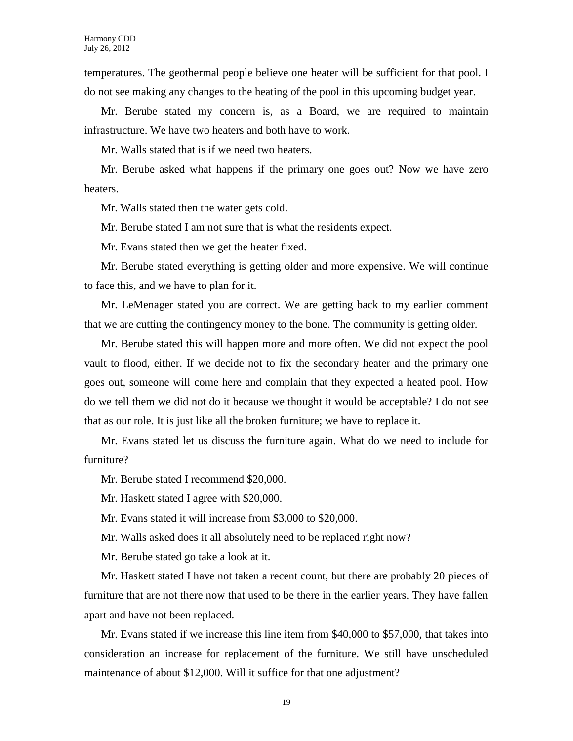temperatures. The geothermal people believe one heater will be sufficient for that pool. I do not see making any changes to the heating of the pool in this upcoming budget year.

Mr. Berube stated my concern is, as a Board, we are required to maintain infrastructure. We have two heaters and both have to work.

Mr. Walls stated that is if we need two heaters.

Mr. Berube asked what happens if the primary one goes out? Now we have zero heaters.

Mr. Walls stated then the water gets cold.

Mr. Berube stated I am not sure that is what the residents expect.

Mr. Evans stated then we get the heater fixed.

Mr. Berube stated everything is getting older and more expensive. We will continue to face this, and we have to plan for it.

Mr. LeMenager stated you are correct. We are getting back to my earlier comment that we are cutting the contingency money to the bone. The community is getting older.

Mr. Berube stated this will happen more and more often. We did not expect the pool vault to flood, either. If we decide not to fix the secondary heater and the primary one goes out, someone will come here and complain that they expected a heated pool. How do we tell them we did not do it because we thought it would be acceptable? I do not see that as our role. It is just like all the broken furniture; we have to replace it.

Mr. Evans stated let us discuss the furniture again. What do we need to include for furniture?

Mr. Berube stated I recommend \$20,000.

Mr. Haskett stated I agree with \$20,000.

Mr. Evans stated it will increase from \$3,000 to \$20,000.

Mr. Walls asked does it all absolutely need to be replaced right now?

Mr. Berube stated go take a look at it.

Mr. Haskett stated I have not taken a recent count, but there are probably 20 pieces of furniture that are not there now that used to be there in the earlier years. They have fallen apart and have not been replaced.

Mr. Evans stated if we increase this line item from \$40,000 to \$57,000, that takes into consideration an increase for replacement of the furniture. We still have unscheduled maintenance of about \$12,000. Will it suffice for that one adjustment?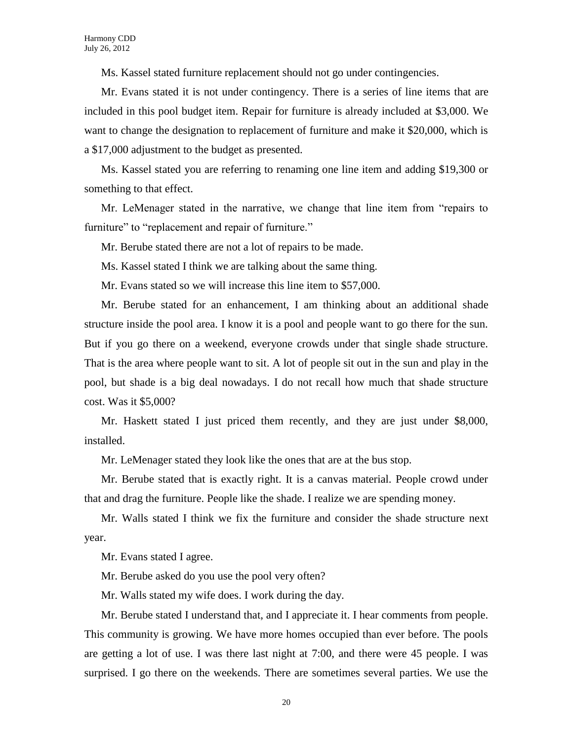Ms. Kassel stated furniture replacement should not go under contingencies.

Mr. Evans stated it is not under contingency. There is a series of line items that are included in this pool budget item. Repair for furniture is already included at \$3,000. We want to change the designation to replacement of furniture and make it \$20,000, which is a \$17,000 adjustment to the budget as presented.

Ms. Kassel stated you are referring to renaming one line item and adding \$19,300 or something to that effect.

Mr. LeMenager stated in the narrative, we change that line item from "repairs to furniture" to "replacement and repair of furniture."

Mr. Berube stated there are not a lot of repairs to be made.

Ms. Kassel stated I think we are talking about the same thing.

Mr. Evans stated so we will increase this line item to \$57,000.

Mr. Berube stated for an enhancement, I am thinking about an additional shade structure inside the pool area. I know it is a pool and people want to go there for the sun. But if you go there on a weekend, everyone crowds under that single shade structure. That is the area where people want to sit. A lot of people sit out in the sun and play in the pool, but shade is a big deal nowadays. I do not recall how much that shade structure cost. Was it \$5,000?

Mr. Haskett stated I just priced them recently, and they are just under \$8,000, installed.

Mr. LeMenager stated they look like the ones that are at the bus stop.

Mr. Berube stated that is exactly right. It is a canvas material. People crowd under that and drag the furniture. People like the shade. I realize we are spending money.

Mr. Walls stated I think we fix the furniture and consider the shade structure next year.

Mr. Evans stated I agree.

Mr. Berube asked do you use the pool very often?

Mr. Walls stated my wife does. I work during the day.

Mr. Berube stated I understand that, and I appreciate it. I hear comments from people. This community is growing. We have more homes occupied than ever before. The pools are getting a lot of use. I was there last night at 7:00, and there were 45 people. I was surprised. I go there on the weekends. There are sometimes several parties. We use the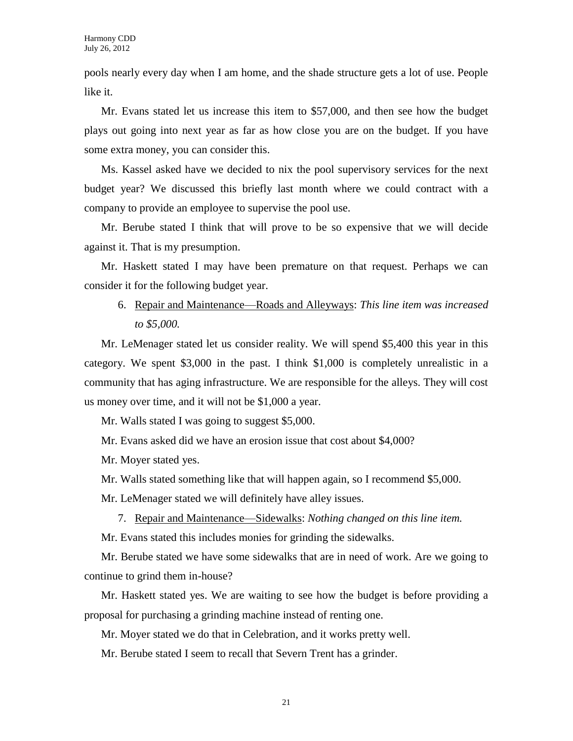pools nearly every day when I am home, and the shade structure gets a lot of use. People like it.

Mr. Evans stated let us increase this item to \$57,000, and then see how the budget plays out going into next year as far as how close you are on the budget. If you have some extra money, you can consider this.

Ms. Kassel asked have we decided to nix the pool supervisory services for the next budget year? We discussed this briefly last month where we could contract with a company to provide an employee to supervise the pool use.

Mr. Berube stated I think that will prove to be so expensive that we will decide against it. That is my presumption.

Mr. Haskett stated I may have been premature on that request. Perhaps we can consider it for the following budget year.

6. Repair and Maintenance—Roads and Alleyways: *This line item was increased to \$5,000.*

Mr. LeMenager stated let us consider reality. We will spend \$5,400 this year in this category. We spent \$3,000 in the past. I think \$1,000 is completely unrealistic in a community that has aging infrastructure. We are responsible for the alleys. They will cost us money over time, and it will not be \$1,000 a year.

Mr. Walls stated I was going to suggest \$5,000.

Mr. Evans asked did we have an erosion issue that cost about \$4,000?

Mr. Moyer stated yes.

Mr. Walls stated something like that will happen again, so I recommend \$5,000.

Mr. LeMenager stated we will definitely have alley issues.

7. Repair and Maintenance—Sidewalks: *Nothing changed on this line item.*

Mr. Evans stated this includes monies for grinding the sidewalks.

Mr. Berube stated we have some sidewalks that are in need of work. Are we going to continue to grind them in-house?

Mr. Haskett stated yes. We are waiting to see how the budget is before providing a proposal for purchasing a grinding machine instead of renting one.

Mr. Moyer stated we do that in Celebration, and it works pretty well.

Mr. Berube stated I seem to recall that Severn Trent has a grinder.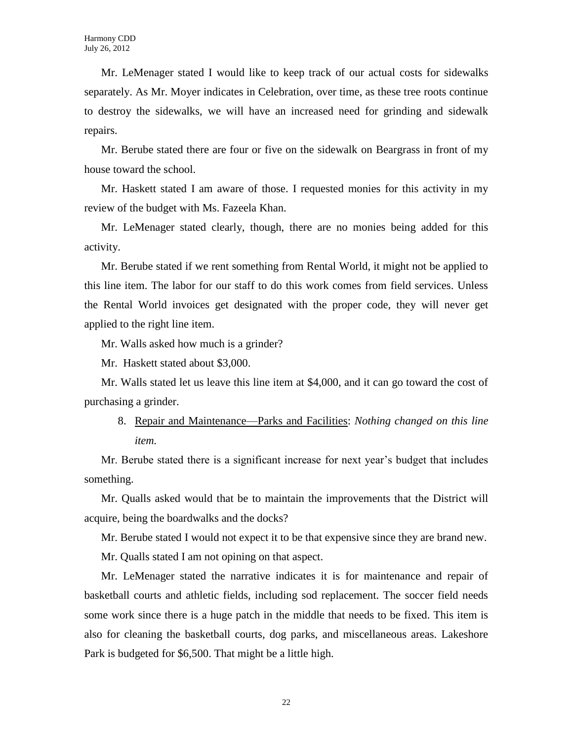Mr. LeMenager stated I would like to keep track of our actual costs for sidewalks separately. As Mr. Moyer indicates in Celebration, over time, as these tree roots continue to destroy the sidewalks, we will have an increased need for grinding and sidewalk repairs.

Mr. Berube stated there are four or five on the sidewalk on Beargrass in front of my house toward the school.

Mr. Haskett stated I am aware of those. I requested monies for this activity in my review of the budget with Ms. Fazeela Khan.

Mr. LeMenager stated clearly, though, there are no monies being added for this activity.

Mr. Berube stated if we rent something from Rental World, it might not be applied to this line item. The labor for our staff to do this work comes from field services. Unless the Rental World invoices get designated with the proper code, they will never get applied to the right line item.

Mr. Walls asked how much is a grinder?

Mr. Haskett stated about \$3,000.

Mr. Walls stated let us leave this line item at \$4,000, and it can go toward the cost of purchasing a grinder.

## 8. Repair and Maintenance—Parks and Facilities: *Nothing changed on this line item.*

Mr. Berube stated there is a significant increase for next year's budget that includes something.

Mr. Qualls asked would that be to maintain the improvements that the District will acquire, being the boardwalks and the docks?

Mr. Berube stated I would not expect it to be that expensive since they are brand new.

Mr. Qualls stated I am not opining on that aspect.

Mr. LeMenager stated the narrative indicates it is for maintenance and repair of basketball courts and athletic fields, including sod replacement. The soccer field needs some work since there is a huge patch in the middle that needs to be fixed. This item is also for cleaning the basketball courts, dog parks, and miscellaneous areas. Lakeshore Park is budgeted for \$6,500. That might be a little high.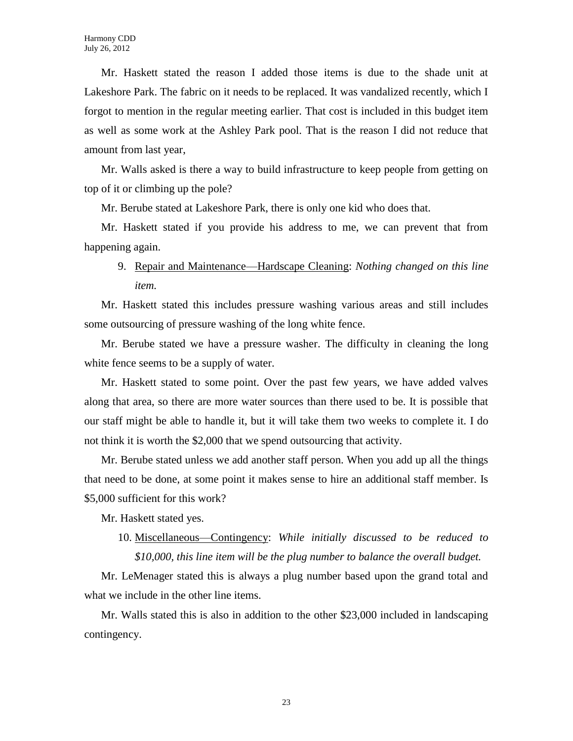Mr. Haskett stated the reason I added those items is due to the shade unit at Lakeshore Park. The fabric on it needs to be replaced. It was vandalized recently, which I forgot to mention in the regular meeting earlier. That cost is included in this budget item as well as some work at the Ashley Park pool. That is the reason I did not reduce that amount from last year,

Mr. Walls asked is there a way to build infrastructure to keep people from getting on top of it or climbing up the pole?

Mr. Berube stated at Lakeshore Park, there is only one kid who does that.

Mr. Haskett stated if you provide his address to me, we can prevent that from happening again.

## 9. Repair and Maintenance—Hardscape Cleaning: *Nothing changed on this line item.*

Mr. Haskett stated this includes pressure washing various areas and still includes some outsourcing of pressure washing of the long white fence.

Mr. Berube stated we have a pressure washer. The difficulty in cleaning the long white fence seems to be a supply of water.

Mr. Haskett stated to some point. Over the past few years, we have added valves along that area, so there are more water sources than there used to be. It is possible that our staff might be able to handle it, but it will take them two weeks to complete it. I do not think it is worth the \$2,000 that we spend outsourcing that activity.

Mr. Berube stated unless we add another staff person. When you add up all the things that need to be done, at some point it makes sense to hire an additional staff member. Is \$5,000 sufficient for this work?

Mr. Haskett stated yes.

10. Miscellaneous—Contingency: *While initially discussed to be reduced to \$10,000, this line item will be the plug number to balance the overall budget.*

Mr. LeMenager stated this is always a plug number based upon the grand total and what we include in the other line items.

Mr. Walls stated this is also in addition to the other \$23,000 included in landscaping contingency.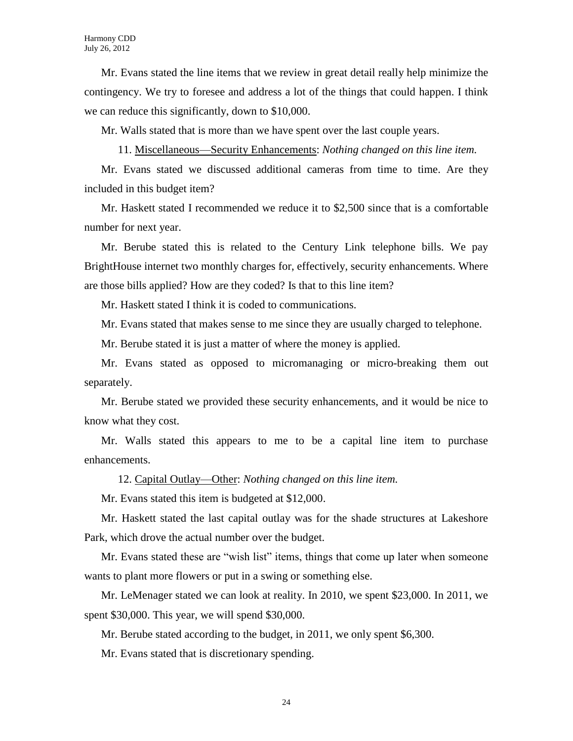Mr. Evans stated the line items that we review in great detail really help minimize the contingency. We try to foresee and address a lot of the things that could happen. I think we can reduce this significantly, down to \$10,000.

Mr. Walls stated that is more than we have spent over the last couple years.

11. Miscellaneous—Security Enhancements: *Nothing changed on this line item.*

Mr. Evans stated we discussed additional cameras from time to time. Are they included in this budget item?

Mr. Haskett stated I recommended we reduce it to \$2,500 since that is a comfortable number for next year.

Mr. Berube stated this is related to the Century Link telephone bills. We pay BrightHouse internet two monthly charges for, effectively, security enhancements. Where are those bills applied? How are they coded? Is that to this line item?

Mr. Haskett stated I think it is coded to communications.

Mr. Evans stated that makes sense to me since they are usually charged to telephone.

Mr. Berube stated it is just a matter of where the money is applied.

Mr. Evans stated as opposed to micromanaging or micro-breaking them out separately.

Mr. Berube stated we provided these security enhancements, and it would be nice to know what they cost.

Mr. Walls stated this appears to me to be a capital line item to purchase enhancements.

12. Capital Outlay—Other: *Nothing changed on this line item.*

Mr. Evans stated this item is budgeted at \$12,000.

Mr. Haskett stated the last capital outlay was for the shade structures at Lakeshore Park, which drove the actual number over the budget.

Mr. Evans stated these are "wish list" items, things that come up later when someone wants to plant more flowers or put in a swing or something else.

Mr. LeMenager stated we can look at reality. In 2010, we spent \$23,000. In 2011, we spent \$30,000. This year, we will spend \$30,000.

Mr. Berube stated according to the budget, in 2011, we only spent \$6,300.

Mr. Evans stated that is discretionary spending.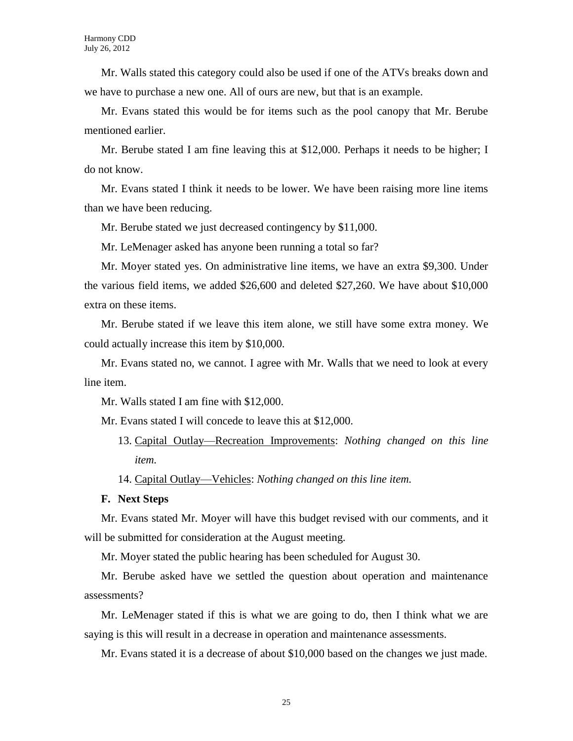Mr. Walls stated this category could also be used if one of the ATVs breaks down and we have to purchase a new one. All of ours are new, but that is an example.

Mr. Evans stated this would be for items such as the pool canopy that Mr. Berube mentioned earlier.

Mr. Berube stated I am fine leaving this at \$12,000. Perhaps it needs to be higher; I do not know.

Mr. Evans stated I think it needs to be lower. We have been raising more line items than we have been reducing.

Mr. Berube stated we just decreased contingency by \$11,000.

Mr. LeMenager asked has anyone been running a total so far?

Mr. Moyer stated yes. On administrative line items, we have an extra \$9,300. Under the various field items, we added \$26,600 and deleted \$27,260. We have about \$10,000 extra on these items.

Mr. Berube stated if we leave this item alone, we still have some extra money. We could actually increase this item by \$10,000.

Mr. Evans stated no, we cannot. I agree with Mr. Walls that we need to look at every line item.

Mr. Walls stated I am fine with \$12,000.

Mr. Evans stated I will concede to leave this at \$12,000.

13. Capital Outlay—Recreation Improvements: *Nothing changed on this line item.*

14. Capital Outlay—Vehicles: *Nothing changed on this line item.*

#### **F. Next Steps**

Mr. Evans stated Mr. Moyer will have this budget revised with our comments, and it will be submitted for consideration at the August meeting.

Mr. Moyer stated the public hearing has been scheduled for August 30.

Mr. Berube asked have we settled the question about operation and maintenance assessments?

Mr. LeMenager stated if this is what we are going to do, then I think what we are saying is this will result in a decrease in operation and maintenance assessments.

Mr. Evans stated it is a decrease of about \$10,000 based on the changes we just made.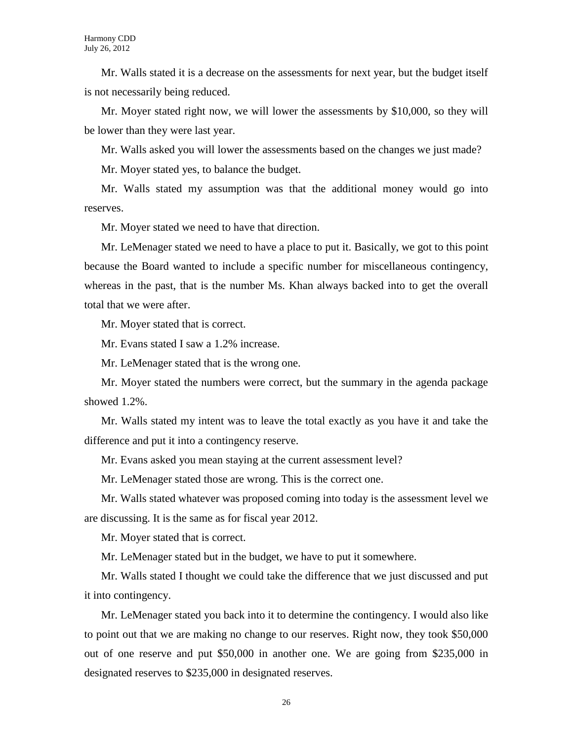Mr. Walls stated it is a decrease on the assessments for next year, but the budget itself is not necessarily being reduced.

Mr. Moyer stated right now, we will lower the assessments by \$10,000, so they will be lower than they were last year.

Mr. Walls asked you will lower the assessments based on the changes we just made?

Mr. Moyer stated yes, to balance the budget.

Mr. Walls stated my assumption was that the additional money would go into reserves.

Mr. Moyer stated we need to have that direction.

Mr. LeMenager stated we need to have a place to put it. Basically, we got to this point because the Board wanted to include a specific number for miscellaneous contingency, whereas in the past, that is the number Ms. Khan always backed into to get the overall total that we were after.

Mr. Moyer stated that is correct.

Mr. Evans stated I saw a 1.2% increase.

Mr. LeMenager stated that is the wrong one.

Mr. Moyer stated the numbers were correct, but the summary in the agenda package showed 1.2%.

Mr. Walls stated my intent was to leave the total exactly as you have it and take the difference and put it into a contingency reserve.

Mr. Evans asked you mean staying at the current assessment level?

Mr. LeMenager stated those are wrong. This is the correct one.

Mr. Walls stated whatever was proposed coming into today is the assessment level we are discussing. It is the same as for fiscal year 2012.

Mr. Moyer stated that is correct.

Mr. LeMenager stated but in the budget, we have to put it somewhere.

Mr. Walls stated I thought we could take the difference that we just discussed and put it into contingency.

Mr. LeMenager stated you back into it to determine the contingency. I would also like to point out that we are making no change to our reserves. Right now, they took \$50,000 out of one reserve and put \$50,000 in another one. We are going from \$235,000 in designated reserves to \$235,000 in designated reserves.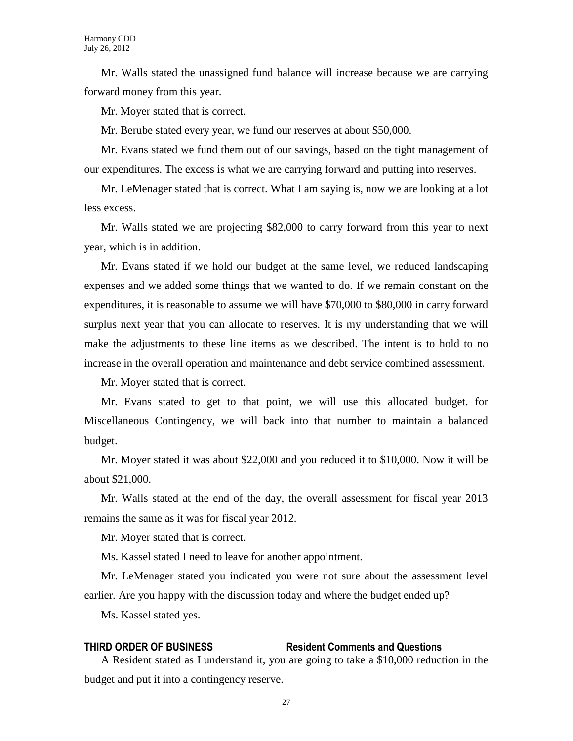Mr. Walls stated the unassigned fund balance will increase because we are carrying forward money from this year.

Mr. Moyer stated that is correct.

Mr. Berube stated every year, we fund our reserves at about \$50,000.

Mr. Evans stated we fund them out of our savings, based on the tight management of our expenditures. The excess is what we are carrying forward and putting into reserves.

Mr. LeMenager stated that is correct. What I am saying is, now we are looking at a lot less excess.

Mr. Walls stated we are projecting \$82,000 to carry forward from this year to next year, which is in addition.

Mr. Evans stated if we hold our budget at the same level, we reduced landscaping expenses and we added some things that we wanted to do. If we remain constant on the expenditures, it is reasonable to assume we will have \$70,000 to \$80,000 in carry forward surplus next year that you can allocate to reserves. It is my understanding that we will make the adjustments to these line items as we described. The intent is to hold to no increase in the overall operation and maintenance and debt service combined assessment.

Mr. Moyer stated that is correct.

Mr. Evans stated to get to that point, we will use this allocated budget. for Miscellaneous Contingency, we will back into that number to maintain a balanced budget.

Mr. Moyer stated it was about \$22,000 and you reduced it to \$10,000. Now it will be about \$21,000.

Mr. Walls stated at the end of the day, the overall assessment for fiscal year 2013 remains the same as it was for fiscal year 2012.

Mr. Moyer stated that is correct.

Ms. Kassel stated I need to leave for another appointment.

Mr. LeMenager stated you indicated you were not sure about the assessment level earlier. Are you happy with the discussion today and where the budget ended up?

Ms. Kassel stated yes.

#### **THIRD ORDER OF BUSINESS Resident Comments and Questions**

A Resident stated as I understand it, you are going to take a \$10,000 reduction in the budget and put it into a contingency reserve.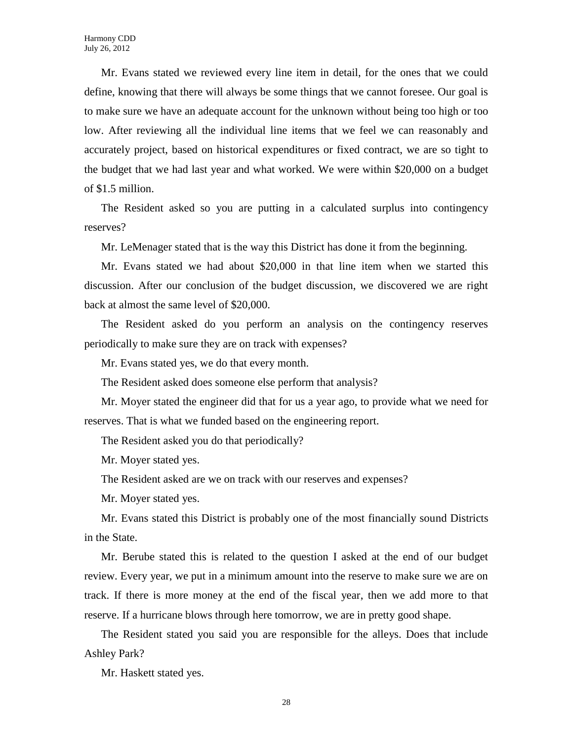Mr. Evans stated we reviewed every line item in detail, for the ones that we could define, knowing that there will always be some things that we cannot foresee. Our goal is to make sure we have an adequate account for the unknown without being too high or too low. After reviewing all the individual line items that we feel we can reasonably and accurately project, based on historical expenditures or fixed contract, we are so tight to the budget that we had last year and what worked. We were within \$20,000 on a budget of \$1.5 million.

The Resident asked so you are putting in a calculated surplus into contingency reserves?

Mr. LeMenager stated that is the way this District has done it from the beginning.

Mr. Evans stated we had about \$20,000 in that line item when we started this discussion. After our conclusion of the budget discussion, we discovered we are right back at almost the same level of \$20,000.

The Resident asked do you perform an analysis on the contingency reserves periodically to make sure they are on track with expenses?

Mr. Evans stated yes, we do that every month.

The Resident asked does someone else perform that analysis?

Mr. Moyer stated the engineer did that for us a year ago, to provide what we need for reserves. That is what we funded based on the engineering report.

The Resident asked you do that periodically?

Mr. Moyer stated yes.

The Resident asked are we on track with our reserves and expenses?

Mr. Moyer stated yes.

Mr. Evans stated this District is probably one of the most financially sound Districts in the State.

Mr. Berube stated this is related to the question I asked at the end of our budget review. Every year, we put in a minimum amount into the reserve to make sure we are on track. If there is more money at the end of the fiscal year, then we add more to that reserve. If a hurricane blows through here tomorrow, we are in pretty good shape.

The Resident stated you said you are responsible for the alleys. Does that include Ashley Park?

Mr. Haskett stated yes.